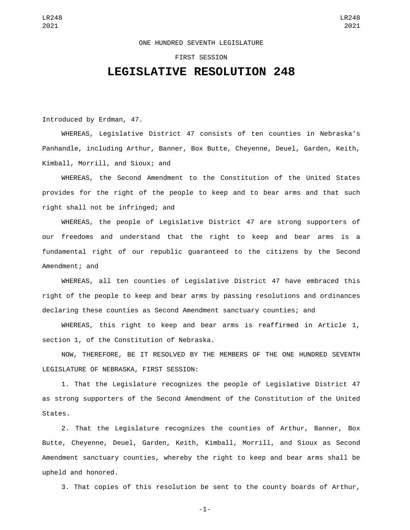## ONE HUNDRED SEVENTH LEGISLATURE

## FIRST SESSION

## **LEGISLATIVE RESOLUTION 248**

Introduced by Erdman, 47.

WHEREAS, Legislative District 47 consists of ten counties in Nebraska's Panhandle, including Arthur, Banner, Box Butte, Cheyenne, Deuel, Garden, Keith, Kimball, Morrill, and Sioux; and

WHEREAS, the Second Amendment to the Constitution of the United States provides for the right of the people to keep and to bear arms and that such right shall not be infringed; and

WHEREAS, the people of Legislative District 47 are strong supporters of our freedoms and understand that the right to keep and bear arms is a fundamental right of our republic guaranteed to the citizens by the Second Amendment; and

WHEREAS, all ten counties of Legislative District 47 have embraced this right of the people to keep and bear arms by passing resolutions and ordinances declaring these counties as Second Amendment sanctuary counties; and

WHEREAS, this right to keep and bear arms is reaffirmed in Article 1, section 1, of the Constitution of Nebraska.

NOW, THEREFORE, BE IT RESOLVED BY THE MEMBERS OF THE ONE HUNDRED SEVENTH LEGISLATURE OF NEBRASKA, FIRST SESSION:

1. That the Legislature recognizes the people of Legislative District 47 as strong supporters of the Second Amendment of the Constitution of the United States.

2. That the Legislature recognizes the counties of Arthur, Banner, Box Butte, Cheyenne, Deuel, Garden, Keith, Kimball, Morrill, and Sioux as Second Amendment sanctuary counties, whereby the right to keep and bear arms shall be upheld and honored.

3. That copies of this resolution be sent to the county boards of Arthur,

-1-